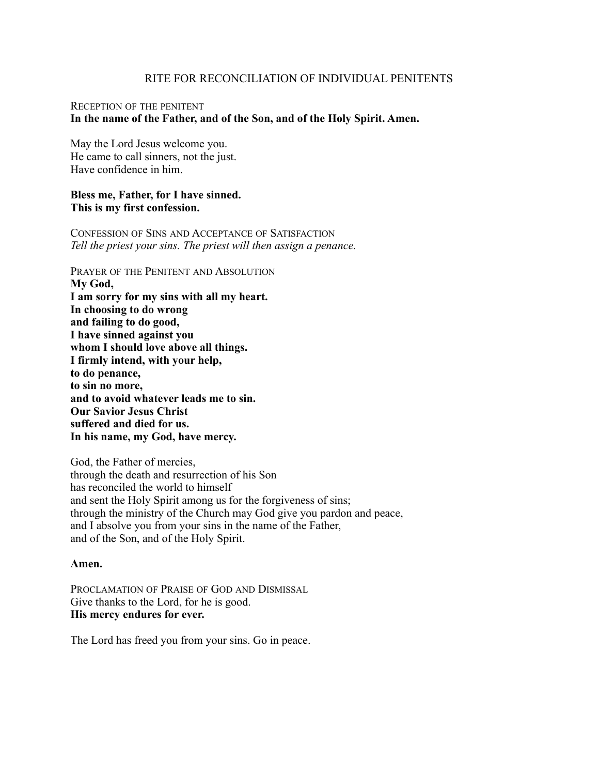# RITE FOR RECONCILIATION OF INDIVIDUAL PENITENTS

## RECEPTION OF THE PENITENT

**In the name of the Father, and of the Son, and of the Holy Spirit. Amen.** 

May the Lord Jesus welcome you. He came to call sinners, not the just. Have confidence in him.

#### **Bless me, Father, for I have sinned. This is my first confession.**

CONFESSION OF SINS AND ACCEPTANCE OF SATISFACTION *Tell the priest your sins. The priest will then assign a penance.* 

PRAYER OF THE PENITENT AND ABSOLUTION **My God, I am sorry for my sins with all my heart. In choosing to do wrong and failing to do good, I have sinned against you whom I should love above all things. I firmly intend, with your help, to do penance, to [sin](http://www.catholic.org/encyclopedia/view.php?id=10849) no more, and to avoid whatever leads me to sin. Our Savior [Jesus Christ](http://www.catholic.org/clife/jesus) suffered and died for us. In his name, my God, have mercy.** 

God, the Father of mercies, through the death and resurrection of his Son has reconciled the world to himself and sent the Holy Spirit among us for the forgiveness of sins; through the ministry of the Church may God give you pardon and peace, and I absolve you from your sins in the name of the Father, and of the Son, and of the Holy Spirit.

### **Amen.**

PROCLAMATION OF PRAISE OF GOD AND DISMISSAL Give thanks to the Lord, for he is good. **His mercy endures for ever.** 

The Lord has freed you from your sins. Go in peace.